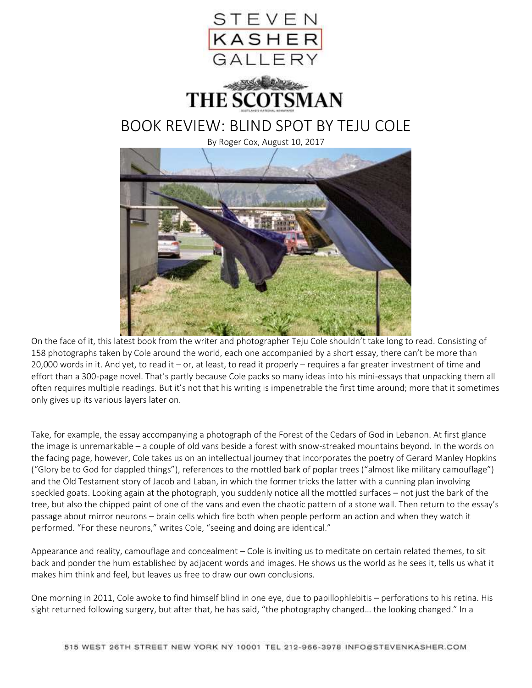

On the face of it, this latest book from the writer and photographer Teju Cole shouldn't take long to read. Consisting of 158 photographs taken by Cole around the world, each one accompanied by a short essay, there can't be more than 20,000 words in it. And yet, to read it – or, at least, to read it properly – requires a far greater investment of time and effort than a 300-page novel. That's partly because Cole packs so many ideas into his mini-essays that unpacking them all often requires multiple readings. But it's not that his writing is impenetrable the first time around; more that it sometimes only gives up its various layers later on.

Take, for example, the essay accompanying a photograph of the Forest of the Cedars of God in Lebanon. At first glance the image is unremarkable – a couple of old vans beside a forest with snow-streaked mountains beyond. In the words on the facing page, however, Cole takes us on an intellectual journey that incorporates the poetry of Gerard Manley Hopkins ("Glory be to God for dappled things"), references to the mottled bark of poplar trees ("almost like military camouflage") and the Old Testament story of Jacob and Laban, in which the former tricks the latter with a cunning plan involving speckled goats. Looking again at the photograph, you suddenly notice all the mottled surfaces – not just the bark of the tree, but also the chipped paint of one of the vans and even the chaotic pattern of a stone wall. Then return to the essay's passage about mirror neurons – brain cells which fire both when people perform an action and when they watch it performed. "For these neurons," writes Cole, "seeing and doing are identical."

Appearance and reality, camouflage and concealment – Cole is inviting us to meditate on certain related themes, to sit back and ponder the hum established by adjacent words and images. He shows us the world as he sees it, tells us what it makes him think and feel, but leaves us free to draw our own conclusions.

One morning in 2011, Cole awoke to find himself blind in one eye, due to papillophlebitis – perforations to his retina. His sight returned following surgery, but after that, he has said, "the photography changed… the looking changed." In a